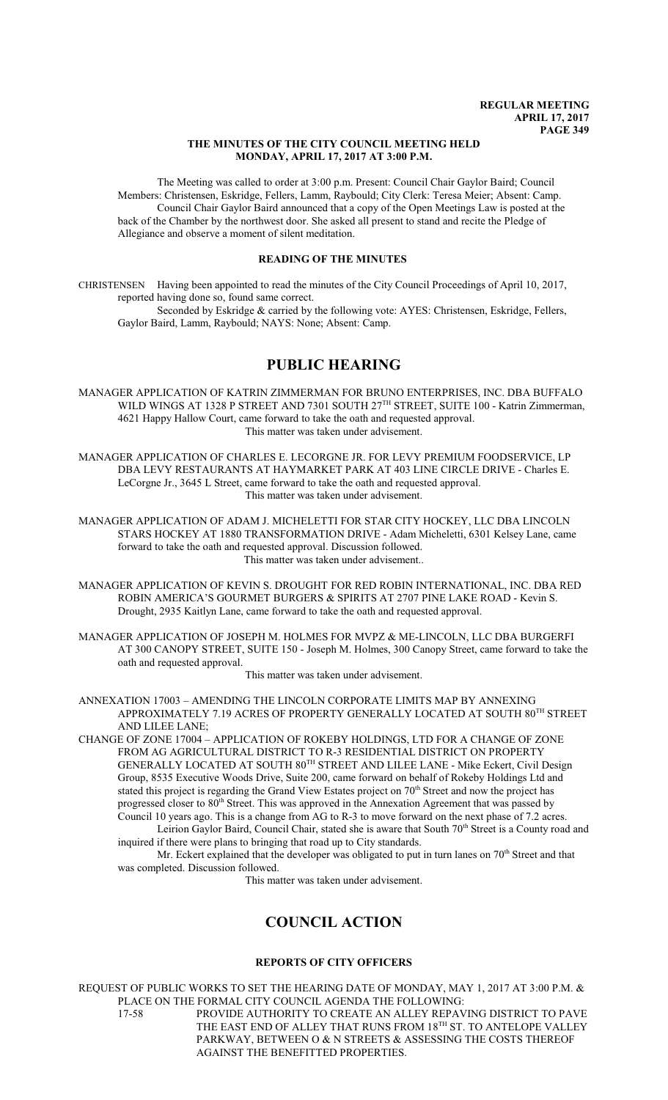#### **THE MINUTES OF THE CITY COUNCIL MEETING HELD MONDAY, APRIL 17, 2017 AT 3:00 P.M.**

The Meeting was called to order at 3:00 p.m. Present: Council Chair Gaylor Baird; Council Members: Christensen, Eskridge, Fellers, Lamm, Raybould; City Clerk: Teresa Meier; Absent: Camp. Council Chair Gaylor Baird announced that a copy of the Open Meetings Law is posted at the back of the Chamber by the northwest door. She asked all present to stand and recite the Pledge of Allegiance and observe a moment of silent meditation.

### **READING OF THE MINUTES**

CHRISTENSEN Having been appointed to read the minutes of the City Council Proceedings of April 10, 2017, reported having done so, found same correct.

Seconded by Eskridge & carried by the following vote: AYES: Christensen, Eskridge, Fellers, Gaylor Baird, Lamm, Raybould; NAYS: None; Absent: Camp.

# **PUBLIC HEARING**

MANAGER APPLICATION OF KATRIN ZIMMERMAN FOR BRUNO ENTERPRISES, INC. DBA BUFFALO WILD WINGS AT 1328 P STREET AND 7301 SOUTH 27<sup>TH</sup> STREET, SUITE 100 - Katrin Zimmerman, 4621 Happy Hallow Court, came forward to take the oath and requested approval. This matter was taken under advisement.

MANAGER APPLICATION OF CHARLES E. LECORGNE JR. FOR LEVY PREMIUM FOODSERVICE, LP DBA LEVY RESTAURANTS AT HAYMARKET PARK AT 403 LINE CIRCLE DRIVE - Charles E. LeCorgne Jr., 3645 L Street, came forward to take the oath and requested approval. This matter was taken under advisement.

MANAGER APPLICATION OF ADAM J. MICHELETTI FOR STAR CITY HOCKEY, LLC DBA LINCOLN STARS HOCKEY AT 1880 TRANSFORMATION DRIVE - Adam Micheletti, 6301 Kelsey Lane, came forward to take the oath and requested approval. Discussion followed. This matter was taken under advisement..

- MANAGER APPLICATION OF KEVIN S. DROUGHT FOR RED ROBIN INTERNATIONAL, INC. DBA RED ROBIN AMERICA'S GOURMET BURGERS & SPIRITS AT 2707 PINE LAKE ROAD - Kevin S. Drought, 2935 Kaitlyn Lane, came forward to take the oath and requested approval.
- MANAGER APPLICATION OF JOSEPH M. HOLMES FOR MVPZ & ME-LINCOLN, LLC DBA BURGERFI AT 300 CANOPY STREET, SUITE 150 - Joseph M. Holmes, 300 Canopy Street, came forward to take the oath and requested approval.

This matter was taken under advisement.

ANNEXATION 17003 – AMENDING THE LINCOLN CORPORATE LIMITS MAP BY ANNEXING APPROXIMATELY 7.19 ACRES OF PROPERTY GENERALLY LOCATED AT SOUTH  $80^{\mathrm{TH}}$  STREET AND LILEE LANE;

CHANGE OF ZONE 17004 – APPLICATION OF ROKEBY HOLDINGS, LTD FOR A CHANGE OF ZONE FROM AG AGRICULTURAL DISTRICT TO R-3 RESIDENTIAL DISTRICT ON PROPERTY GENERALLY LOCATED AT SOUTH 80TH STREET AND LILEE LANE - Mike Eckert, Civil Design Group, 8535 Executive Woods Drive, Suite 200, came forward on behalf of Rokeby Holdings Ltd and stated this project is regarding the Grand View Estates project on  $70<sup>th</sup>$  Street and now the project has progressed closer to 80<sup>th</sup> Street. This was approved in the Annexation Agreement that was passed by Council 10 years ago. This is a change from AG to R-3 to move forward on the next phase of 7.2 acres. Leirion Gaylor Baird, Council Chair, stated she is aware that South 70th Street is a County road and

inquired if there were plans to bringing that road up to City standards. Mr. Eckert explained that the developer was obligated to put in turn lanes on  $70<sup>th</sup>$  Street and that was completed. Discussion followed.

This matter was taken under advisement.

# **COUNCIL ACTION**

#### **REPORTS OF CITY OFFICERS**

REQUEST OF PUBLIC WORKS TO SET THE HEARING DATE OF MONDAY, MAY 1, 2017 AT 3:00 P.M. & PLACE ON THE FORMAL CITY COUNCIL AGENDA THE FOLLOWING: 17-58 PROVIDE AUTHORITY TO CREATE AN ALLEY REPAVING DISTRICT TO PAVE THE EAST END OF ALLEY THAT RUNS FROM  $18^{\text{\tiny{TH}}}$  ST. TO ANTELOPE VALLEY PARKWAY, BETWEEN O & N STREETS & ASSESSING THE COSTS THEREOF AGAINST THE BENEFITTED PROPERTIES.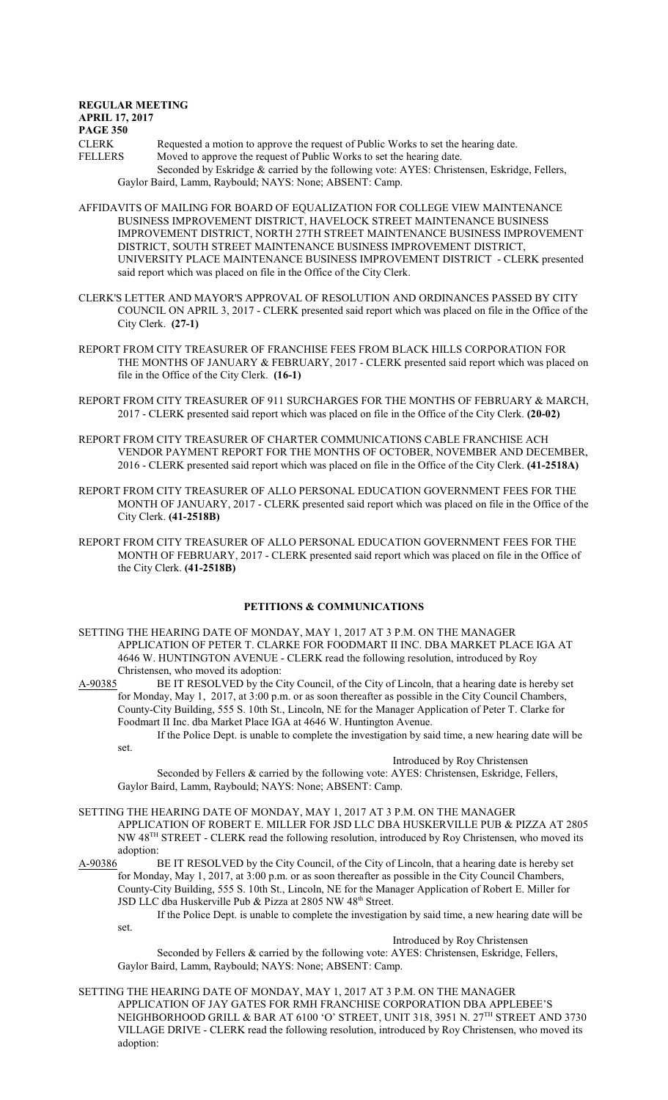**REGULAR MEETING APRIL 17, 2017 PAGE 350** CLERK Requested a motion to approve the request of Public Works to set the hearing date.<br>FELLERS Moved to approve the request of Public Works to set the hearing date Moved to approve the request of Public Works to set the hearing date. Seconded by Eskridge & carried by the following vote: AYES: Christensen, Eskridge, Fellers, Gaylor Baird, Lamm, Raybould; NAYS: None; ABSENT: Camp.

AFFIDAVITS OF MAILING FOR BOARD OF EQUALIZATION FOR COLLEGE VIEW MAINTENANCE BUSINESS IMPROVEMENT DISTRICT, HAVELOCK STREET MAINTENANCE BUSINESS IMPROVEMENT DISTRICT, NORTH 27TH STREET MAINTENANCE BUSINESS IMPROVEMENT DISTRICT, SOUTH STREET MAINTENANCE BUSINESS IMPROVEMENT DISTRICT, UNIVERSITY PLACE MAINTENANCE BUSINESS IMPROVEMENT DISTRICT - CLERK presented said report which was placed on file in the Office of the City Clerk.

- CLERK'S LETTER AND MAYOR'S APPROVAL OF RESOLUTION AND ORDINANCES PASSED BY CITY COUNCIL ON APRIL 3, 2017 - CLERK presented said report which was placed on file in the Office of the City Clerk. **(27-1)**
- REPORT FROM CITY TREASURER OF FRANCHISE FEES FROM BLACK HILLS CORPORATION FOR THE MONTHS OF JANUARY & FEBRUARY, 2017 - CLERK presented said report which was placed on file in the Office of the City Clerk. **(16-1)**
- REPORT FROM CITY TREASURER OF 911 SURCHARGES FOR THE MONTHS OF FEBRUARY & MARCH, 2017 - CLERK presented said report which was placed on file in the Office of the City Clerk. **(20-02)**
- REPORT FROM CITY TREASURER OF CHARTER COMMUNICATIONS CABLE FRANCHISE ACH VENDOR PAYMENT REPORT FOR THE MONTHS OF OCTOBER, NOVEMBER AND DECEMBER, 2016 - CLERK presented said report which was placed on file in the Office of the City Clerk. **(41-2518A)**
- REPORT FROM CITY TREASURER OF ALLO PERSONAL EDUCATION GOVERNMENT FEES FOR THE MONTH OF JANUARY, 2017 - CLERK presented said report which was placed on file in the Office of the City Clerk. **(41-2518B)**
- REPORT FROM CITY TREASURER OF ALLO PERSONAL EDUCATION GOVERNMENT FEES FOR THE MONTH OF FEBRUARY, 2017 - CLERK presented said report which was placed on file in the Office of the City Clerk. **(41-2518B)**

## **PETITIONS & COMMUNICATIONS**

- SETTING THE HEARING DATE OF MONDAY, MAY 1, 2017 AT 3 P.M. ON THE MANAGER APPLICATION OF PETER T. CLARKE FOR FOODMART II INC. DBA MARKET PLACE IGA AT 4646 W. HUNTINGTON AVENUE - CLERK read the following resolution, introduced by Roy Christensen, who moved its adoption:
- A-90385 BE IT RESOLVED by the City Council, of the City of Lincoln, that a hearing date is hereby set for Monday, May 1, 2017, at 3:00 p.m. or as soon thereafter as possible in the City Council Chambers, County-City Building, 555 S. 10th St., Lincoln, NE for the Manager Application of Peter T. Clarke for Foodmart II Inc. dba Market Place IGA at 4646 W. Huntington Avenue.

If the Police Dept. is unable to complete the investigation by said time, a new hearing date will be set.

Introduced by Roy Christensen

Seconded by Fellers & carried by the following vote: AYES: Christensen, Eskridge, Fellers, Gaylor Baird, Lamm, Raybould; NAYS: None; ABSENT: Camp.

- SETTING THE HEARING DATE OF MONDAY, MAY 1, 2017 AT 3 P.M. ON THE MANAGER APPLICATION OF ROBERT E. MILLER FOR JSD LLC DBA HUSKERVILLE PUB & PIZZA AT 2805 NW 48<sup>TH</sup> STREET - CLERK read the following resolution, introduced by Roy Christensen, who moved its adoption:<br>A-90386 I
- BE IT RESOLVED by the City Council, of the City of Lincoln, that a hearing date is hereby set for Monday, May 1, 2017, at 3:00 p.m. or as soon thereafter as possible in the City Council Chambers, County-City Building, 555 S. 10th St., Lincoln, NE for the Manager Application of Robert E. Miller for JSD LLC dba Huskerville Pub & Pizza at 2805 NW 48<sup>th</sup> Street.

If the Police Dept. is unable to complete the investigation by said time, a new hearing date will be set. Introduced by Roy Christensen

Seconded by Fellers & carried by the following vote: AYES: Christensen, Eskridge, Fellers, Gaylor Baird, Lamm, Raybould; NAYS: None; ABSENT: Camp.

SETTING THE HEARING DATE OF MONDAY, MAY 1, 2017 AT 3 P.M. ON THE MANAGER APPLICATION OF JAY GATES FOR RMH FRANCHISE CORPORATION DBA APPLEBEE'S NEIGHBORHOOD GRILL & BAR AT 6100 'O' STREET, UNIT 318, 3951 N. 27™ STREET AND 3730 VILLAGE DRIVE - CLERK read the following resolution, introduced by Roy Christensen, who moved its adoption: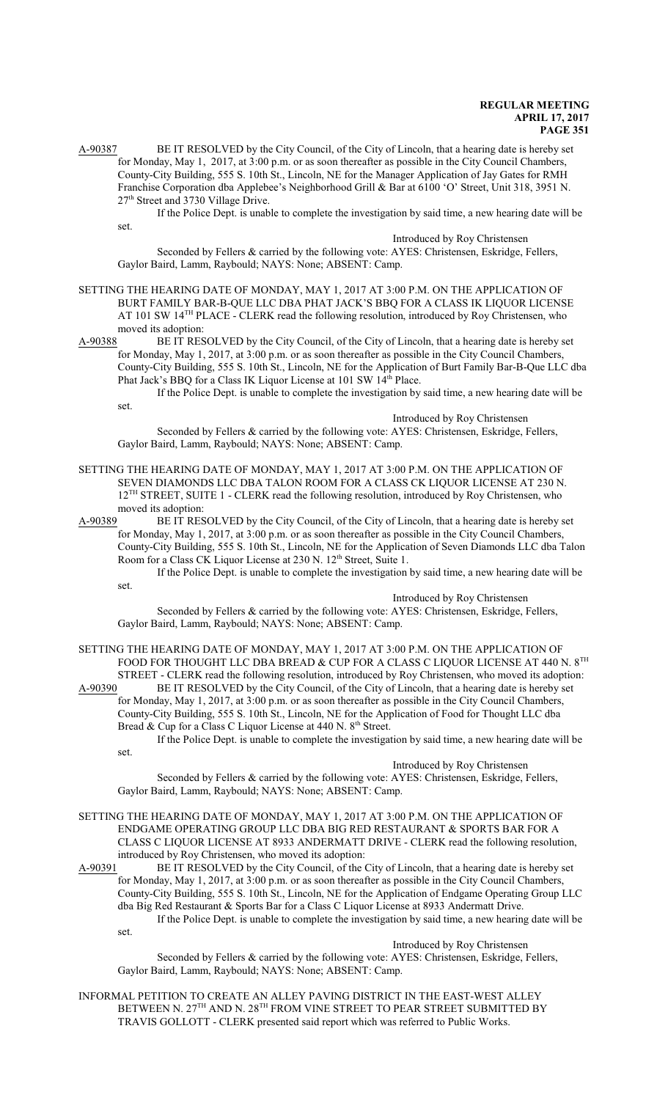A-90387 BE IT RESOLVED by the City Council, of the City of Lincoln, that a hearing date is hereby set for Monday, May 1, 2017, at 3:00 p.m. or as soon thereafter as possible in the City Council Chambers, County-City Building, 555 S. 10th St., Lincoln, NE for the Manager Application of Jay Gates for RMH Franchise Corporation dba Applebee's Neighborhood Grill & Bar at 6100 'O' Street, Unit 318, 3951 N. 27<sup>th</sup> Street and 3730 Village Drive.

If the Police Dept. is unable to complete the investigation by said time, a new hearing date will be set.

#### Introduced by Roy Christensen

Seconded by Fellers & carried by the following vote: AYES: Christensen, Eskridge, Fellers, Gaylor Baird, Lamm, Raybould; NAYS: None; ABSENT: Camp.

SETTING THE HEARING DATE OF MONDAY, MAY 1, 2017 AT 3:00 P.M. ON THE APPLICATION OF BURT FAMILY BAR-B-QUE LLC DBA PHAT JACK'S BBQ FOR A CLASS IK LIQUOR LICENSE AT 101 SW 14<sup>TH</sup> PLACE - CLERK read the following resolution, introduced by Roy Christensen, who moved its adoption:

A-90388 BE IT RESOLVED by the City Council, of the City of Lincoln, that a hearing date is hereby set for Monday, May 1, 2017, at 3:00 p.m. or as soon thereafter as possible in the City Council Chambers, County-City Building, 555 S. 10th St., Lincoln, NE for the Application of Burt Family Bar-B-Que LLC dba Phat Jack's BBQ for a Class IK Liquor License at 101 SW 14<sup>th</sup> Place.

If the Police Dept. is unable to complete the investigation by said time, a new hearing date will be set.

Introduced by Roy Christensen

Seconded by Fellers & carried by the following vote: AYES: Christensen, Eskridge, Fellers, Gaylor Baird, Lamm, Raybould; NAYS: None; ABSENT: Camp.

#### SETTING THE HEARING DATE OF MONDAY, MAY 1, 2017 AT 3:00 P.M. ON THE APPLICATION OF SEVEN DIAMONDS LLC DBA TALON ROOM FOR A CLASS CK LIQUOR LICENSE AT 230 N. 12<sup>TH</sup> STREET, SUITE 1 - CLERK read the following resolution, introduced by Roy Christensen, who moved its adoption:

A-90389 BE IT RESOLVED by the City Council, of the City of Lincoln, that a hearing date is hereby set for Monday, May 1, 2017, at 3:00 p.m. or as soon thereafter as possible in the City Council Chambers, County-City Building, 555 S. 10th St., Lincoln, NE for the Application of Seven Diamonds LLC dba Talon Room for a Class CK Liquor License at 230 N. 12<sup>th</sup> Street, Suite 1.

If the Police Dept. is unable to complete the investigation by said time, a new hearing date will be set.

Introduced by Roy Christensen

Seconded by Fellers & carried by the following vote: AYES: Christensen, Eskridge, Fellers, Gaylor Baird, Lamm, Raybould; NAYS: None; ABSENT: Camp.

SETTING THE HEARING DATE OF MONDAY, MAY 1, 2017 AT 3:00 P.M. ON THE APPLICATION OF FOOD FOR THOUGHT LLC DBA BREAD & CUP FOR A CLASS C LIQUOR LICENSE AT 440 N.  $8^{\mathrm{TH}}$ STREET - CLERK read the following resolution, introduced by Roy Christensen, who moved its adoption:<br>A-90390 BE IT RESOLVED by the City Council, of the City of Lincoln, that a hearing date is hereby set

BE IT RESOLVED by the City Council, of the City of Lincoln, that a hearing date is hereby set for Monday, May 1, 2017, at 3:00 p.m. or as soon thereafter as possible in the City Council Chambers, County-City Building, 555 S. 10th St., Lincoln, NE for the Application of Food for Thought LLC dba Bread & Cup for a Class C Liquor License at 440 N. 8<sup>th</sup> Street.

If the Police Dept. is unable to complete the investigation by said time, a new hearing date will be set.

## Introduced by Roy Christensen

Seconded by Fellers & carried by the following vote: AYES: Christensen, Eskridge, Fellers, Gaylor Baird, Lamm, Raybould; NAYS: None; ABSENT: Camp.

SETTING THE HEARING DATE OF MONDAY, MAY 1, 2017 AT 3:00 P.M. ON THE APPLICATION OF ENDGAME OPERATING GROUP LLC DBA BIG RED RESTAURANT & SPORTS BAR FOR A CLASS C LIQUOR LICENSE AT 8933 ANDERMATT DRIVE - CLERK read the following resolution, introduced by Roy Christensen, who moved its adoption:

A-90391 BE IT RESOLVED by the City Council, of the City of Lincoln, that a hearing date is hereby set for Monday, May 1, 2017, at 3:00 p.m. or as soon thereafter as possible in the City Council Chambers, County-City Building, 555 S. 10th St., Lincoln, NE for the Application of Endgame Operating Group LLC dba Big Red Restaurant & Sports Bar for a Class C Liquor License at 8933 Andermatt Drive. If the Police Dept. is unable to complete the investigation by said time, a new hearing date will be

set.

Introduced by Roy Christensen

Seconded by Fellers & carried by the following vote: AYES: Christensen, Eskridge, Fellers, Gaylor Baird, Lamm, Raybould; NAYS: None; ABSENT: Camp.

INFORMAL PETITION TO CREATE AN ALLEY PAVING DISTRICT IN THE EAST-WEST ALLEY BETWEEN N. 27 $^{\text{\tiny{\textsf{TH}}}}$  AND N. 28 $^{\text{\tiny{\textsf{TH}}}}$  FROM VINE STREET TO PEAR STREET SUBMITTED BY TRAVIS GOLLOTT - CLERK presented said report which was referred to Public Works.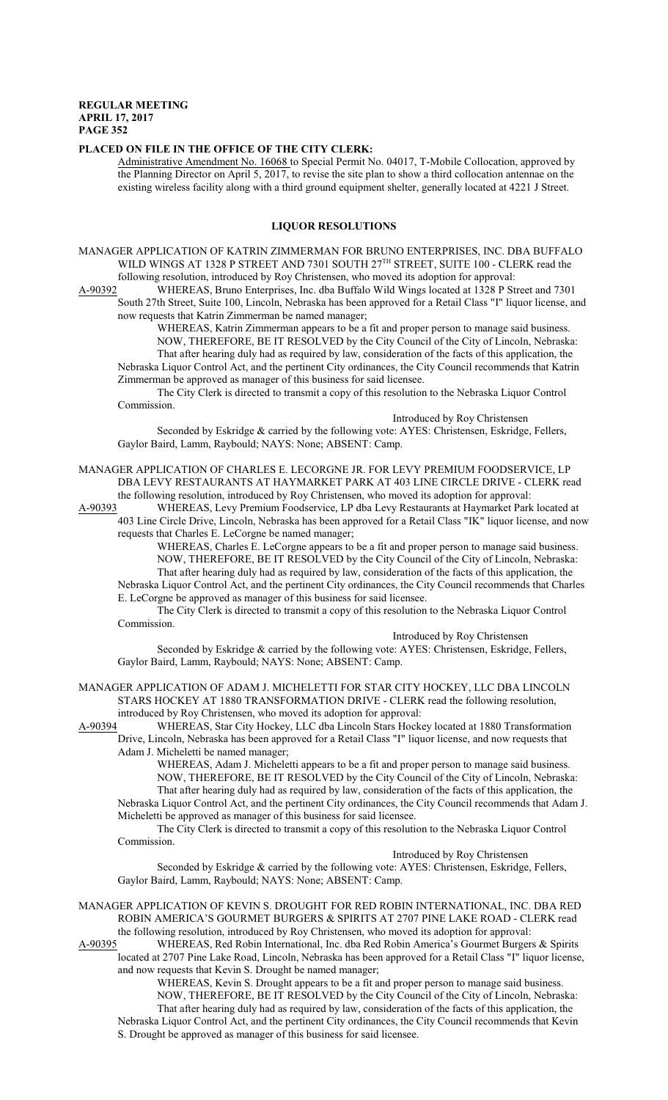#### **PLACED ON FILE IN THE OFFICE OF THE CITY CLERK:**

Administrative Amendment No. 16068 to Special Permit No. 04017, T-Mobile Collocation, approved by the Planning Director on April 5, 2017, to revise the site plan to show a third collocation antennae on the existing wireless facility along with a third ground equipment shelter, generally located at 4221 J Street.

#### **LIQUOR RESOLUTIONS**

MANAGER APPLICATION OF KATRIN ZIMMERMAN FOR BRUNO ENTERPRISES, INC. DBA BUFFALO WILD WINGS AT 1328 P STREET AND 7301 SOUTH 27TH STREET, SUITE 100 - CLERK read the following resolution, introduced by Roy Christensen, who moved its adoption for approval:

A-90392 WHEREAS, Bruno Enterprises, Inc. dba Buffalo Wild Wings located at 1328 P Street and 7301 South 27th Street, Suite 100, Lincoln, Nebraska has been approved for a Retail Class "I" liquor license, and now requests that Katrin Zimmerman be named manager;

WHEREAS, Katrin Zimmerman appears to be a fit and proper person to manage said business. NOW, THEREFORE, BE IT RESOLVED by the City Council of the City of Lincoln, Nebraska: That after hearing duly had as required by law, consideration of the facts of this application, the Nebraska Liquor Control Act, and the pertinent City ordinances, the City Council recommends that Katrin Zimmerman be approved as manager of this business for said licensee.

The City Clerk is directed to transmit a copy of this resolution to the Nebraska Liquor Control Commission.

Introduced by Roy Christensen

Seconded by Eskridge & carried by the following vote: AYES: Christensen, Eskridge, Fellers, Gaylor Baird, Lamm, Raybould; NAYS: None; ABSENT: Camp.

MANAGER APPLICATION OF CHARLES E. LECORGNE JR. FOR LEVY PREMIUM FOODSERVICE, LP DBA LEVY RESTAURANTS AT HAYMARKET PARK AT 403 LINE CIRCLE DRIVE - CLERK read the following resolution, introduced by Roy Christensen, who moved its adoption for approval:

A-90393 WHEREAS, Levy Premium Foodservice, LP dba Levy Restaurants at Haymarket Park located at 403 Line Circle Drive, Lincoln, Nebraska has been approved for a Retail Class "IK" liquor license, and now requests that Charles E. LeCorgne be named manager;

WHEREAS, Charles E. LeCorgne appears to be a fit and proper person to manage said business. NOW, THEREFORE, BE IT RESOLVED by the City Council of the City of Lincoln, Nebraska: That after hearing duly had as required by law, consideration of the facts of this application, the Nebraska Liquor Control Act, and the pertinent City ordinances, the City Council recommends that Charles E. LeCorgne be approved as manager of this business for said licensee.

The City Clerk is directed to transmit a copy of this resolution to the Nebraska Liquor Control Commission.

#### Introduced by Roy Christensen

Seconded by Eskridge & carried by the following vote: AYES: Christensen, Eskridge, Fellers, Gaylor Baird, Lamm, Raybould; NAYS: None; ABSENT: Camp.

MANAGER APPLICATION OF ADAM J. MICHELETTI FOR STAR CITY HOCKEY, LLC DBA LINCOLN STARS HOCKEY AT 1880 TRANSFORMATION DRIVE - CLERK read the following resolution, introduced by Roy Christensen, who moved its adoption for approval:

A-90394 WHEREAS, Star City Hockey, LLC dba Lincoln Stars Hockey located at 1880 Transformation Drive, Lincoln, Nebraska has been approved for a Retail Class "I" liquor license, and now requests that Adam J. Micheletti be named manager;

WHEREAS, Adam J. Micheletti appears to be a fit and proper person to manage said business. NOW, THEREFORE, BE IT RESOLVED by the City Council of the City of Lincoln, Nebraska: That after hearing duly had as required by law, consideration of the facts of this application, the Nebraska Liquor Control Act, and the pertinent City ordinances, the City Council recommends that Adam J. Micheletti be approved as manager of this business for said licensee.

The City Clerk is directed to transmit a copy of this resolution to the Nebraska Liquor Control Commission.

Introduced by Roy Christensen

Seconded by Eskridge & carried by the following vote: AYES: Christensen, Eskridge, Fellers, Gaylor Baird, Lamm, Raybould; NAYS: None; ABSENT: Camp.

MANAGER APPLICATION OF KEVIN S. DROUGHT FOR RED ROBIN INTERNATIONAL, INC. DBA RED ROBIN AMERICA'S GOURMET BURGERS & SPIRITS AT 2707 PINE LAKE ROAD - CLERK read the following resolution, introduced by Roy Christensen, who moved its adoption for approval:<br>A-90395 WHEREAS, Red Robin International, Inc. dba Red Robin America's Gourmet Burger

WHEREAS, Red Robin International, Inc. dba Red Robin America's Gourmet Burgers & Spirits located at 2707 Pine Lake Road, Lincoln, Nebraska has been approved for a Retail Class "I" liquor license, and now requests that Kevin S. Drought be named manager;

WHEREAS, Kevin S. Drought appears to be a fit and proper person to manage said business. NOW, THEREFORE, BE IT RESOLVED by the City Council of the City of Lincoln, Nebraska: That after hearing duly had as required by law, consideration of the facts of this application, the Nebraska Liquor Control Act, and the pertinent City ordinances, the City Council recommends that Kevin S. Drought be approved as manager of this business for said licensee.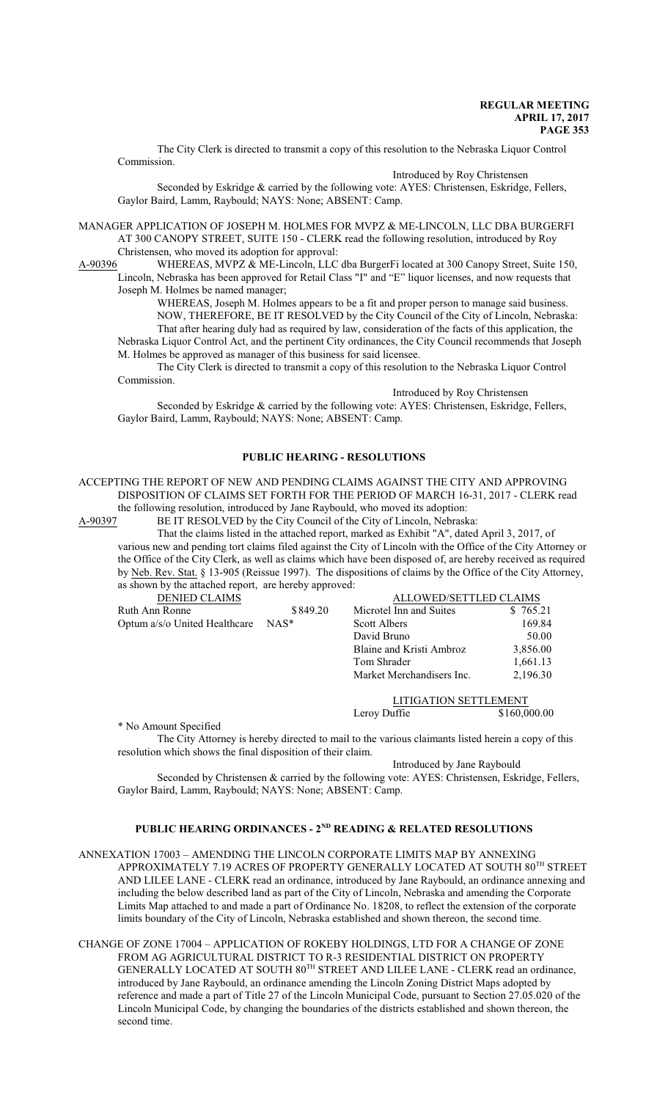The City Clerk is directed to transmit a copy of this resolution to the Nebraska Liquor Control Commission.

Introduced by Roy Christensen

Seconded by Eskridge & carried by the following vote: AYES: Christensen, Eskridge, Fellers, Gaylor Baird, Lamm, Raybould; NAYS: None; ABSENT: Camp.

MANAGER APPLICATION OF JOSEPH M. HOLMES FOR MVPZ & ME-LINCOLN, LLC DBA BURGERFI AT 300 CANOPY STREET, SUITE 150 - CLERK read the following resolution, introduced by Roy Christensen, who moved its adoption for approval:

A-90396 WHEREAS, MVPZ & ME-Lincoln, LLC dba BurgerFi located at 300 Canopy Street, Suite 150, Lincoln, Nebraska has been approved for Retail Class "I" and "E" liquor licenses, and now requests that Joseph M. Holmes be named manager;

WHEREAS, Joseph M. Holmes appears to be a fit and proper person to manage said business. NOW, THEREFORE, BE IT RESOLVED by the City Council of the City of Lincoln, Nebraska: That after hearing duly had as required by law, consideration of the facts of this application, the Nebraska Liquor Control Act, and the pertinent City ordinances, the City Council recommends that Joseph M. Holmes be approved as manager of this business for said licensee.

The City Clerk is directed to transmit a copy of this resolution to the Nebraska Liquor Control Commission.

Introduced by Roy Christensen

Seconded by Eskridge & carried by the following vote: AYES: Christensen, Eskridge, Fellers, Gaylor Baird, Lamm, Raybould; NAYS: None; ABSENT: Camp.

### **PUBLIC HEARING - RESOLUTIONS**

ACCEPTING THE REPORT OF NEW AND PENDING CLAIMS AGAINST THE CITY AND APPROVING DISPOSITION OF CLAIMS SET FORTH FOR THE PERIOD OF MARCH 16-31, 2017 - CLERK read

the following resolution, introduced by Jane Raybould, who moved its adoption:<br>A-90397 BE IT RESOLVED by the City Council of the City of Lincoln. Nebrask BE IT RESOLVED by the City Council of the City of Lincoln, Nebraska:

That the claims listed in the attached report, marked as Exhibit "A", dated April 3, 2017, of various new and pending tort claims filed against the City of Lincoln with the Office of the City Attorney or the Office of the City Clerk, as well as claims which have been disposed of, are hereby received as required by Neb. Rev. Stat. § 13-905 (Reissue 1997). The dispositions of claims by the Office of the City Attorney, as shown by the attached report, are hereby approved:

| <b>DENIED CLAIMS</b>          |          | <b>ALLOWED/SETTLED CLAIMS</b> |              |
|-------------------------------|----------|-------------------------------|--------------|
| Ruth Ann Ronne                | \$849.20 | Microtel Inn and Suites       | \$765.21     |
| Optum a/s/o United Healthcare | $NAS^*$  | Scott Albers                  | 169.84       |
|                               |          | David Bruno                   | 50.00        |
|                               |          | Blaine and Kristi Ambroz      | 3,856.00     |
|                               |          | Tom Shrader                   | 1,661.13     |
|                               |          | Market Merchandisers Inc.     | 2,196.30     |
|                               |          | <b>LITIGATION SETTLEMENT</b>  |              |
|                               |          | Leroy Duffie                  | \$160,000.00 |

\* No Amount Specified

The City Attorney is hereby directed to mail to the various claimants listed herein a copy of this resolution which shows the final disposition of their claim.

Introduced by Jane Raybould

Seconded by Christensen & carried by the following vote: AYES: Christensen, Eskridge, Fellers, Gaylor Baird, Lamm, Raybould; NAYS: None; ABSENT: Camp.

#### **PUBLIC HEARING ORDINANCES - 2ND READING & RELATED RESOLUTIONS**

ANNEXATION 17003 – AMENDING THE LINCOLN CORPORATE LIMITS MAP BY ANNEXING APPROXIMATELY 7.19 ACRES OF PROPERTY GENERALLY LOCATED AT SOUTH  $80^{\text{\tiny{TH}}}$  STREET AND LILEE LANE - CLERK read an ordinance, introduced by Jane Raybould, an ordinance annexing and including the below described land as part of the City of Lincoln, Nebraska and amending the Corporate Limits Map attached to and made a part of Ordinance No. 18208, to reflect the extension of the corporate limits boundary of the City of Lincoln, Nebraska established and shown thereon, the second time.

CHANGE OF ZONE 17004 – APPLICATION OF ROKEBY HOLDINGS, LTD FOR A CHANGE OF ZONE FROM AG AGRICULTURAL DISTRICT TO R-3 RESIDENTIAL DISTRICT ON PROPERTY GENERALLY LOCATED AT SOUTH 80<sup>TH</sup> STREET AND LILEE LANE - CLERK read an ordinance, introduced by Jane Raybould, an ordinance amending the Lincoln Zoning District Maps adopted by reference and made a part of Title 27 of the Lincoln Municipal Code, pursuant to Section 27.05.020 of the Lincoln Municipal Code, by changing the boundaries of the districts established and shown thereon, the second time.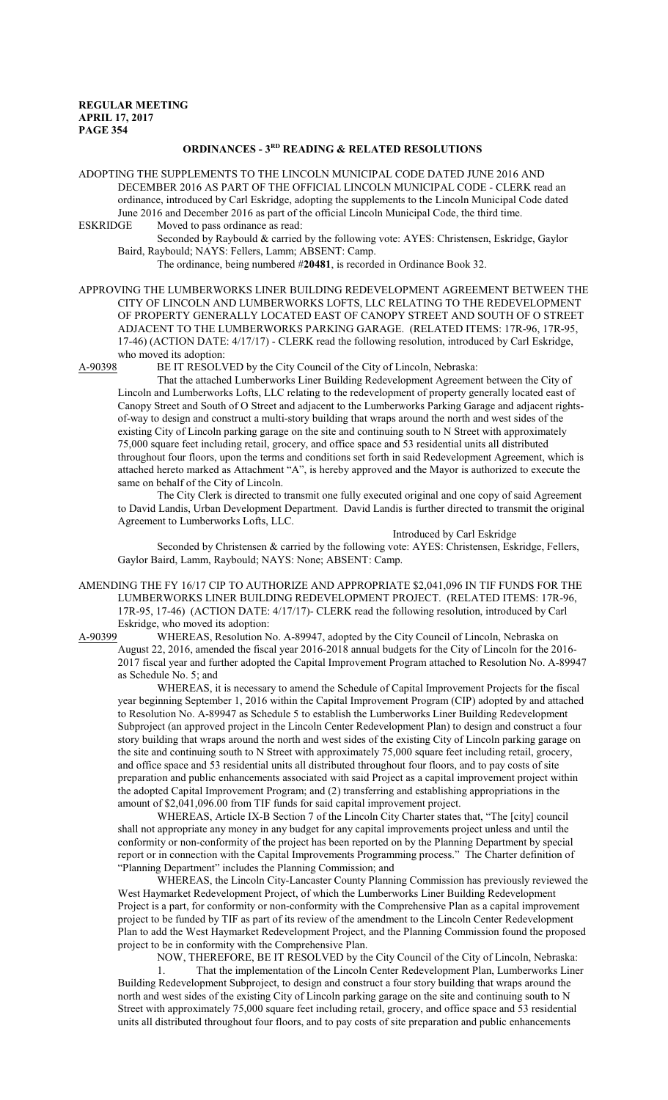# **ORDINANCES - 3RD READING & RELATED RESOLUTIONS**

ADOPTING THE SUPPLEMENTS TO THE LINCOLN MUNICIPAL CODE DATED JUNE 2016 AND DECEMBER 2016 AS PART OF THE OFFICIAL LINCOLN MUNICIPAL CODE - CLERK read an ordinance, introduced by Carl Eskridge, adopting the supplements to the Lincoln Municipal Code dated June 2016 and December 2016 as part of the official Lincoln Municipal Code, the third time.<br>ESKRIDGE Moved to pass ordinance as read:

Moved to pass ordinance as read:

Seconded by Raybould & carried by the following vote: AYES: Christensen, Eskridge, Gaylor Baird, Raybould; NAYS: Fellers, Lamm; ABSENT: Camp.

The ordinance, being numbered #**20481**, is recorded in Ordinance Book 32.

APPROVING THE LUMBERWORKS LINER BUILDING REDEVELOPMENT AGREEMENT BETWEEN THE CITY OF LINCOLN AND LUMBERWORKS LOFTS, LLC RELATING TO THE REDEVELOPMENT OF PROPERTY GENERALLY LOCATED EAST OF CANOPY STREET AND SOUTH OF O STREET ADJACENT TO THE LUMBERWORKS PARKING GARAGE. (RELATED ITEMS: 17R-96, 17R-95, 17-46) (ACTION DATE: 4/17/17) - CLERK read the following resolution, introduced by Carl Eskridge, who moved its adoption:<br>A-90398 BE IT RESOLV

BE IT RESOLVED by the City Council of the City of Lincoln, Nebraska:

That the attached Lumberworks Liner Building Redevelopment Agreement between the City of Lincoln and Lumberworks Lofts, LLC relating to the redevelopment of property generally located east of Canopy Street and South of O Street and adjacent to the Lumberworks Parking Garage and adjacent rightsof-way to design and construct a multi-story building that wraps around the north and west sides of the existing City of Lincoln parking garage on the site and continuing south to N Street with approximately 75,000 square feet including retail, grocery, and office space and 53 residential units all distributed throughout four floors, upon the terms and conditions set forth in said Redevelopment Agreement, which is attached hereto marked as Attachment "A", is hereby approved and the Mayor is authorized to execute the same on behalf of the City of Lincoln.

The City Clerk is directed to transmit one fully executed original and one copy of said Agreement to David Landis, Urban Development Department. David Landis is further directed to transmit the original Agreement to Lumberworks Lofts, LLC.

Introduced by Carl Eskridge Seconded by Christensen & carried by the following vote: AYES: Christensen, Eskridge, Fellers, Gaylor Baird, Lamm, Raybould; NAYS: None; ABSENT: Camp.

AMENDING THE FY 16/17 CIP TO AUTHORIZE AND APPROPRIATE \$2,041,096 IN TIF FUNDS FOR THE LUMBERWORKS LINER BUILDING REDEVELOPMENT PROJECT. (RELATED ITEMS: 17R-96, 17R-95, 17-46) (ACTION DATE: 4/17/17)- CLERK read the following resolution, introduced by Carl Eskridge, who moved its adoption:<br>A-90399 WHEREAS, Resolution N

WHEREAS, Resolution No. A-89947, adopted by the City Council of Lincoln, Nebraska on August 22, 2016, amended the fiscal year 2016-2018 annual budgets for the City of Lincoln for the 2016- 2017 fiscal year and further adopted the Capital Improvement Program attached to Resolution No. A-89947 as Schedule No. 5; and

WHEREAS, it is necessary to amend the Schedule of Capital Improvement Projects for the fiscal year beginning September 1, 2016 within the Capital Improvement Program (CIP) adopted by and attached to Resolution No. A-89947 as Schedule 5 to establish the Lumberworks Liner Building Redevelopment Subproject (an approved project in the Lincoln Center Redevelopment Plan) to design and construct a four story building that wraps around the north and west sides of the existing City of Lincoln parking garage on the site and continuing south to N Street with approximately 75,000 square feet including retail, grocery, and office space and 53 residential units all distributed throughout four floors, and to pay costs of site preparation and public enhancements associated with said Project as a capital improvement project within the adopted Capital Improvement Program; and (2) transferring and establishing appropriations in the amount of \$2,041,096.00 from TIF funds for said capital improvement project.

WHEREAS, Article IX-B Section 7 of the Lincoln City Charter states that, "The [city] council shall not appropriate any money in any budget for any capital improvements project unless and until the conformity or non-conformity of the project has been reported on by the Planning Department by special report or in connection with the Capital Improvements Programming process." The Charter definition of "Planning Department" includes the Planning Commission; and

WHEREAS, the Lincoln City-Lancaster County Planning Commission has previously reviewed the West Haymarket Redevelopment Project, of which the Lumberworks Liner Building Redevelopment Project is a part, for conformity or non-conformity with the Comprehensive Plan as a capital improvement project to be funded by TIF as part of its review of the amendment to the Lincoln Center Redevelopment Plan to add the West Haymarket Redevelopment Project, and the Planning Commission found the proposed project to be in conformity with the Comprehensive Plan.

NOW, THEREFORE, BE IT RESOLVED by the City Council of the City of Lincoln, Nebraska:

1. That the implementation of the Lincoln Center Redevelopment Plan, Lumberworks Liner Building Redevelopment Subproject, to design and construct a four story building that wraps around the north and west sides of the existing City of Lincoln parking garage on the site and continuing south to N Street with approximately 75,000 square feet including retail, grocery, and office space and 53 residential units all distributed throughout four floors, and to pay costs of site preparation and public enhancements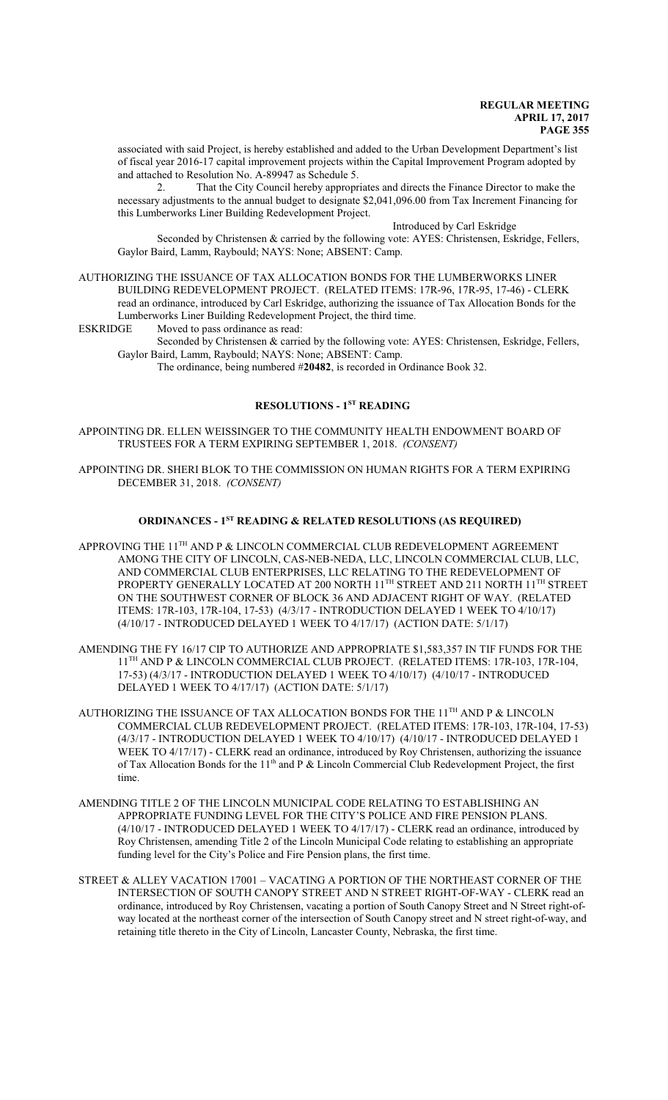associated with said Project, is hereby established and added to the Urban Development Department's list of fiscal year 2016-17 capital improvement projects within the Capital Improvement Program adopted by and attached to Resolution No. A-89947 as Schedule 5.

2. That the City Council hereby appropriates and directs the Finance Director to make the necessary adjustments to the annual budget to designate \$2,041,096.00 from Tax Increment Financing for this Lumberworks Liner Building Redevelopment Project.

### Introduced by Carl Eskridge

Seconded by Christensen & carried by the following vote: AYES: Christensen, Eskridge, Fellers, Gaylor Baird, Lamm, Raybould; NAYS: None; ABSENT: Camp.

AUTHORIZING THE ISSUANCE OF TAX ALLOCATION BONDS FOR THE LUMBERWORKS LINER BUILDING REDEVELOPMENT PROJECT. (RELATED ITEMS: 17R-96, 17R-95, 17-46) - CLERK read an ordinance, introduced by Carl Eskridge, authorizing the issuance of Tax Allocation Bonds for the Lumberworks Liner Building Redevelopment Project, the third time.

ESKRIDGE Moved to pass ordinance as read:

Seconded by Christensen & carried by the following vote: AYES: Christensen, Eskridge, Fellers, Gaylor Baird, Lamm, Raybould; NAYS: None; ABSENT: Camp.

The ordinance, being numbered #**20482**, is recorded in Ordinance Book 32.

## **RESOLUTIONS - 1ST READING**

APPOINTING DR. ELLEN WEISSINGER TO THE COMMUNITY HEALTH ENDOWMENT BOARD OF TRUSTEES FOR A TERM EXPIRING SEPTEMBER 1, 2018. *(CONSENT)*

APPOINTING DR. SHERI BLOK TO THE COMMISSION ON HUMAN RIGHTS FOR A TERM EXPIRING DECEMBER 31, 2018. *(CONSENT)*

#### **ORDINANCES - 1ST READING & RELATED RESOLUTIONS (AS REQUIRED)**

- APPROVING THE  $11^{\text{TH}}$  AND P & LINCOLN COMMERCIAL CLUB REDEVELOPMENT AGREEMENT AMONG THE CITY OF LINCOLN, CAS-NEB-NEDA, LLC, LINCOLN COMMERCIAL CLUB, LLC, AND COMMERCIAL CLUB ENTERPRISES, LLC RELATING TO THE REDEVELOPMENT OF PROPERTY GENERALLY LOCATED AT 200 NORTH 11<sup>th</sup> STREET AND 211 NORTH 11<sup>th</sup> STREET ON THE SOUTHWEST CORNER OF BLOCK 36 AND ADJACENT RIGHT OF WAY. (RELATED ITEMS: 17R-103, 17R-104, 17-53) (4/3/17 - INTRODUCTION DELAYED 1 WEEK TO 4/10/17) (4/10/17 - INTRODUCED DELAYED 1 WEEK TO 4/17/17) (ACTION DATE: 5/1/17)
- AMENDING THE FY 16/17 CIP TO AUTHORIZE AND APPROPRIATE \$1,583,357 IN TIF FUNDS FOR THE 11<sup>TH</sup> AND P & LINCOLN COMMERCIAL CLUB PROJECT. (RELATED ITEMS: 17R-103, 17R-104, 17-53) (4/3/17 - INTRODUCTION DELAYED 1 WEEK TO 4/10/17) (4/10/17 - INTRODUCED DELAYED 1 WEEK TO 4/17/17) (ACTION DATE: 5/1/17)
- AUTHORIZING THE ISSUANCE OF TAX ALLOCATION BONDS FOR THE 11 $^{\text{\tiny{TH}}}$  AND P & LINCOLN COMMERCIAL CLUB REDEVELOPMENT PROJECT. (RELATED ITEMS: 17R-103, 17R-104, 17-53) (4/3/17 - INTRODUCTION DELAYED 1 WEEK TO 4/10/17) (4/10/17 - INTRODUCED DELAYED 1 WEEK TO 4/17/17) - CLERK read an ordinance, introduced by Roy Christensen, authorizing the issuance of Tax Allocation Bonds for the 11<sup>th</sup> and P & Lincoln Commercial Club Redevelopment Project, the first time.
- AMENDING TITLE 2 OF THE LINCOLN MUNICIPAL CODE RELATING TO ESTABLISHING AN APPROPRIATE FUNDING LEVEL FOR THE CITY'S POLICE AND FIRE PENSION PLANS. (4/10/17 - INTRODUCED DELAYED 1 WEEK TO 4/17/17) - CLERK read an ordinance, introduced by Roy Christensen, amending Title 2 of the Lincoln Municipal Code relating to establishing an appropriate funding level for the City's Police and Fire Pension plans, the first time.
- STREET & ALLEY VACATION 17001 VACATING A PORTION OF THE NORTHEAST CORNER OF THE INTERSECTION OF SOUTH CANOPY STREET AND N STREET RIGHT-OF-WAY - CLERK read an ordinance, introduced by Roy Christensen, vacating a portion of South Canopy Street and N Street right-ofway located at the northeast corner of the intersection of South Canopy street and N street right-of-way, and retaining title thereto in the City of Lincoln, Lancaster County, Nebraska, the first time.